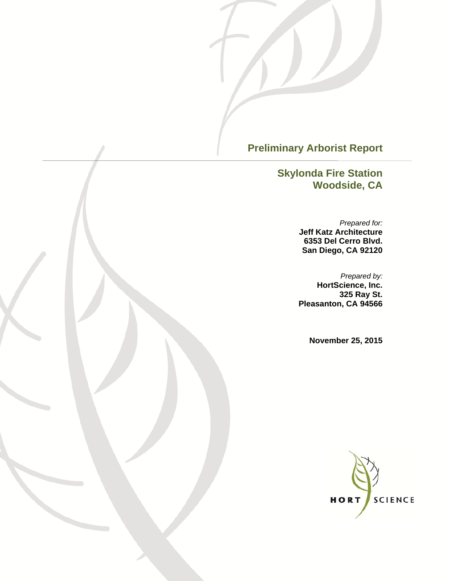

**Preliminary Arborist Report**

**Skylonda Fire Station Woodside, CA**

> *Prepared for:* **Jeff Katz Architecture 6353 Del Cerro Blvd. San Diego, CA 92120**

> *Prepared by:* **HortScience, Inc. 325 Ray St. Pleasanton, CA 94566**

> > **November 25, 2015**

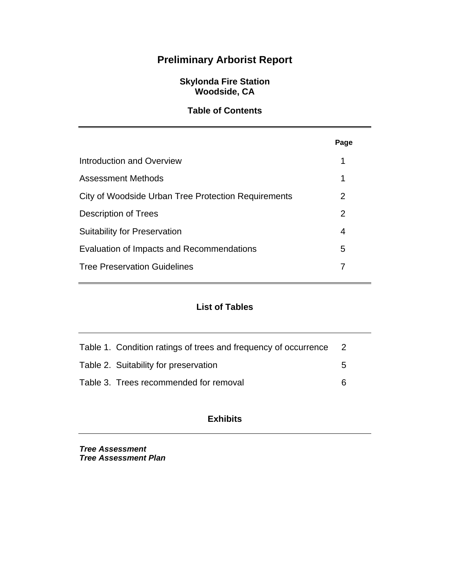## **Preliminary Arborist Report**

### **Skylonda Fire Station Woodside, CA**

### **Table of Contents**

|                                                     | Page |
|-----------------------------------------------------|------|
| Introduction and Overview                           | 1    |
| Assessment Methods                                  | 1    |
| City of Woodside Urban Tree Protection Requirements | 2    |
| Description of Trees                                | 2    |
| <b>Suitability for Preservation</b>                 | 4    |
| Evaluation of Impacts and Recommendations           | 5    |
| <b>Tree Preservation Guidelines</b>                 | 7    |
|                                                     |      |

### **List of Tables**

| Table 1. Condition ratings of trees and frequency of occurrence |    |
|-----------------------------------------------------------------|----|
| Table 2. Suitability for preservation                           | -5 |
| Table 3. Trees recommended for removal                          | 6  |

### **Exhibits**

*Tree Assessment Tree Assessment Plan*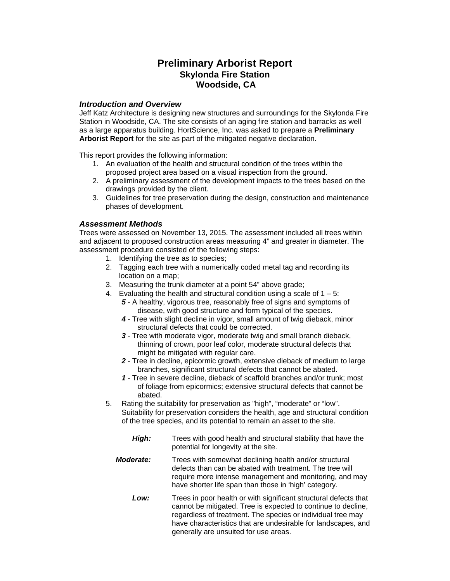### **Preliminary Arborist Report Skylonda Fire Station Woodside, CA**

#### *Introduction and Overview*

Jeff Katz Architecture is designing new structures and surroundings for the Skylonda Fire Station in Woodside, CA. The site consists of an aging fire station and barracks as well as a large apparatus building. HortScience, Inc. was asked to prepare a **Preliminary Arborist Report** for the site as part of the mitigated negative declaration.

This report provides the following information:

- 1. An evaluation of the health and structural condition of the trees within the proposed project area based on a visual inspection from the ground.
- 2. A preliminary assessment of the development impacts to the trees based on the drawings provided by the client.
- 3. Guidelines for tree preservation during the design, construction and maintenance phases of development.

#### *Assessment Methods*

Trees were assessed on November 13, 2015. The assessment included all trees within and adjacent to proposed construction areas measuring 4" and greater in diameter. The assessment procedure consisted of the following steps:

- 1. Identifying the tree as to species;
- 2. Tagging each tree with a numerically coded metal tag and recording its location on a map;
- 3. Measuring the trunk diameter at a point 54" above grade;
- 4. Evaluating the health and structural condition using a scale of  $1 5$ :
	- *5* A healthy, vigorous tree, reasonably free of signs and symptoms of disease, with good structure and form typical of the species.
	- *4* Tree with slight decline in vigor, small amount of twig dieback, minor structural defects that could be corrected.
	- *3* Tree with moderate vigor, moderate twig and small branch dieback, thinning of crown, poor leaf color, moderate structural defects that might be mitigated with regular care.
	- *2* Tree in decline, epicormic growth, extensive dieback of medium to large branches, significant structural defects that cannot be abated.
	- *1* Tree in severe decline, dieback of scaffold branches and/or trunk; most of foliage from epicormics; extensive structural defects that cannot be abated.
- 5. Rating the suitability for preservation as "high", "moderate" or "low". Suitability for preservation considers the health, age and structural condition of the tree species, and its potential to remain an asset to the site.
	- **High:** Trees with good health and structural stability that have the potential for longevity at the site.
	- *Moderate:* Trees with somewhat declining health and/or structural defects than can be abated with treatment. The tree will require more intense management and monitoring, and may have shorter life span than those in 'high' category.
		- **Low:** Trees in poor health or with significant structural defects that cannot be mitigated. Tree is expected to continue to decline, regardless of treatment. The species or individual tree may have characteristics that are undesirable for landscapes, and generally are unsuited for use areas.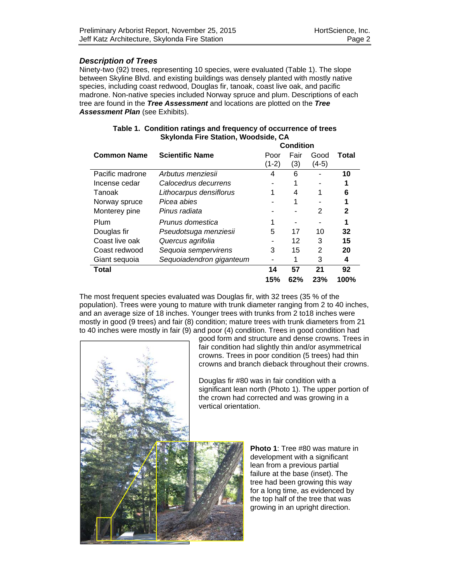#### *Description of Trees*

Ninety-two (92) trees, representing 10 species, were evaluated (Table 1). The slope between Skyline Blvd. and existing buildings was densely planted with mostly native species, including coast redwood, Douglas fir, tanoak, coast live oak, and pacific madrone. Non-native species included Norway spruce and plum. Descriptions of each tree are found in the *Tree Assessment* and locations are plotted on the *Tree*  Assessment Plan (see Exhibits).

|                    |                          | <b>Condition</b> |             |               |             |
|--------------------|--------------------------|------------------|-------------|---------------|-------------|
| <b>Common Name</b> | <b>Scientific Name</b>   | Poor<br>$(1-2)$  | Fair<br>(3) | Good<br>(4-5) | Total       |
| Pacific madrone    | Arbutus menziesii        | 4                | 6           |               | 10          |
| Incense cedar      | Calocedrus decurrens     | ۰                |             |               | 1           |
| Tanoak             | Lithocarpus densiflorus  | 1                | 4           |               | 6           |
| Norway spruce      | Picea abies              |                  | 1           |               | 1           |
| Monterey pine      | Pinus radiata            |                  |             | 2             | $\mathbf 2$ |
| Plum               | Prunus domestica         | 1                |             |               | 1           |
| Douglas fir        | Pseudotsuga menziesii    | 5                | 17          | 10            | 32          |
| Coast live oak     | Quercus agrifolia        |                  | 12          | 3             | 15          |
| Coast redwood      | Sequoia sempervirens     | 3                | 15          | 2             | 20          |
| Giant sequoia      | Sequoiadendron giganteum |                  |             | 3             | 4           |
| <b>Total</b>       |                          | 14               | 57          | 21            | 92          |
|                    |                          | 15%              | 62%         | 23%           | 100%        |

#### **Table 1. Condition ratings and frequency of occurrence of trees Skylonda Fire Station, Woodside, CA**

The most frequent species evaluated was Douglas fir, with 32 trees (35 % of the population). Trees were young to mature with trunk diameter ranging from 2 to 40 inches, and an average size of 18 inches. Younger trees with trunks from 2 to18 inches were mostly in good (9 trees) and fair (8) condition; mature trees with trunk diameters from 21 to 40 inches were mostly in fair (9) and poor (4) condition. Trees in good condition had



crowns. Trees in poor condition (5 trees) had thin crowns and branch dieback throughout their crowns. Douglas fir #80 was in fair condition with a

significant lean north (Photo 1). The upper portion of the crown had corrected and was growing in a vertical orientation.

> **Photo 1**: Tree #80 was mature in development with a significant lean from a previous partial failure at the base (inset). The tree had been growing this way for a long time, as evidenced by the top half of the tree that was growing in an upright direction.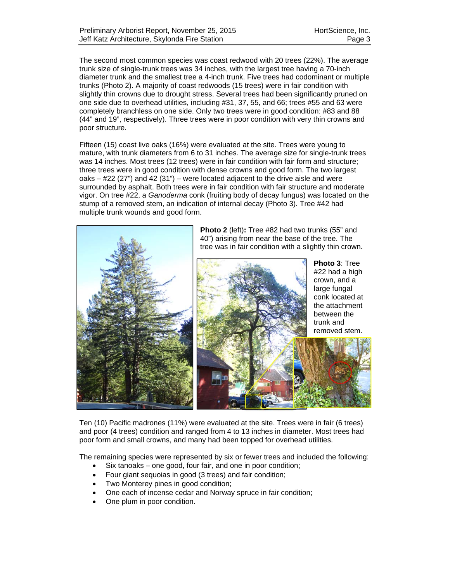The second most common species was coast redwood with 20 trees (22%). The average trunk size of single-trunk trees was 34 inches, with the largest tree having a 70-inch diameter trunk and the smallest tree a 4-inch trunk. Five trees had codominant or multiple trunks (Photo 2). A majority of coast redwoods (15 trees) were in fair condition with slightly thin crowns due to drought stress. Several trees had been significantly pruned on one side due to overhead utilities, including #31, 37, 55, and 66; trees #55 and 63 were completely branchless on one side. Only two trees were in good condition: #83 and 88 (44" and 19", respectively). Three trees were in poor condition with very thin crowns and poor structure.

Fifteen (15) coast live oaks (16%) were evaluated at the site. Trees were young to mature, with trunk diameters from 6 to 31 inches. The average size for single-trunk trees was 14 inches. Most trees (12 trees) were in fair condition with fair form and structure; three trees were in good condition with dense crowns and good form. The two largest oaks  $-$  #22 (27") and 42 (31") – were located adjacent to the drive aisle and were surrounded by asphalt. Both trees were in fair condition with fair structure and moderate vigor. On tree #22, a *Ganoderma* conk (fruiting body of decay fungus) was located on the stump of a removed stem, an indication of internal decay (Photo 3). Tree #42 had multiple trunk wounds and good form.



**Photo 2** (left)**:** Tree #82 had two trunks (55" and 40") arising from near the base of the tree. The tree was in fair condition with a slightly thin crown.



**Photo 3**: Tree #22 had a high crown, and a large fungal conk located at the attachment between the trunk and removed stem.

Ten (10) Pacific madrones (11%) were evaluated at the site. Trees were in fair (6 trees) and poor (4 trees) condition and ranged from 4 to 13 inches in diameter. Most trees had poor form and small crowns, and many had been topped for overhead utilities.

The remaining species were represented by six or fewer trees and included the following:

- Six tanoaks one good, four fair, and one in poor condition;
- Four giant sequoias in good (3 trees) and fair condition;
- Two Monterey pines in good condition;
- One each of incense cedar and Norway spruce in fair condition;
- One plum in poor condition.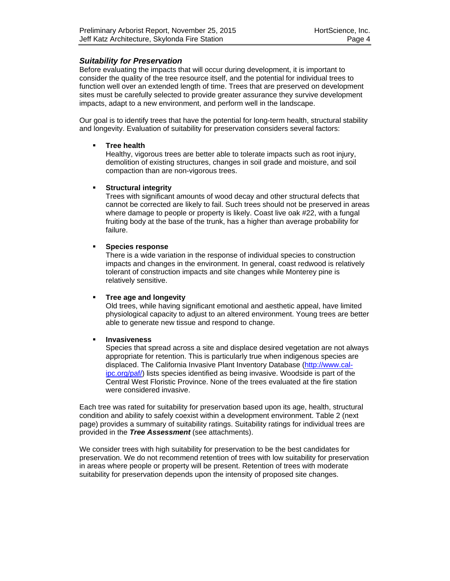#### *Suitability for Preservation*

Before evaluating the impacts that will occur during development, it is important to consider the quality of the tree resource itself, and the potential for individual trees to function well over an extended length of time. Trees that are preserved on development sites must be carefully selected to provide greater assurance they survive development impacts, adapt to a new environment, and perform well in the landscape.

Our goal is to identify trees that have the potential for long-term health, structural stability and longevity. Evaluation of suitability for preservation considers several factors:

#### **Tree health**

 Healthy, vigorous trees are better able to tolerate impacts such as root injury, demolition of existing structures, changes in soil grade and moisture, and soil compaction than are non-vigorous trees.

#### **Structural integrity**

 Trees with significant amounts of wood decay and other structural defects that cannot be corrected are likely to fail. Such trees should not be preserved in areas where damage to people or property is likely. Coast live oak #22, with a fungal fruiting body at the base of the trunk, has a higher than average probability for failure.

#### **Species response**

 There is a wide variation in the response of individual species to construction impacts and changes in the environment. In general, coast redwood is relatively tolerant of construction impacts and site changes while Monterey pine is relatively sensitive.

#### **Tree age and longevity**

 Old trees, while having significant emotional and aesthetic appeal, have limited physiological capacity to adjust to an altered environment. Young trees are better able to generate new tissue and respond to change.

#### **Invasiveness**

Species that spread across a site and displace desired vegetation are not always appropriate for retention. This is particularly true when indigenous species are displaced. The California Invasive Plant Inventory Database (http://www.calipc.org/paf/) lists species identified as being invasive. Woodside is part of the Central West Floristic Province. None of the trees evaluated at the fire station were considered invasive.

Each tree was rated for suitability for preservation based upon its age, health, structural condition and ability to safely coexist within a development environment. Table 2 (next page) provides a summary of suitability ratings. Suitability ratings for individual trees are provided in the *Tree Assessment* (see attachments).

We consider trees with high suitability for preservation to be the best candidates for preservation. We do not recommend retention of trees with low suitability for preservation in areas where people or property will be present. Retention of trees with moderate suitability for preservation depends upon the intensity of proposed site changes.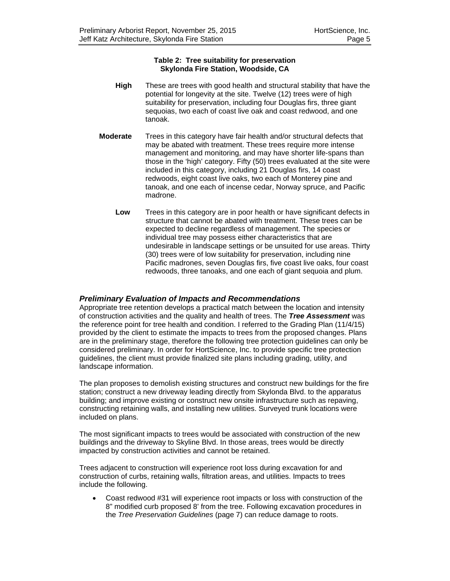#### **Table 2: Tree suitability for preservation Skylonda Fire Station, Woodside, CA**

- **High** These are trees with good health and structural stability that have the potential for longevity at the site. Twelve (12) trees were of high suitability for preservation, including four Douglas firs, three giant sequoias, two each of coast live oak and coast redwood, and one tanoak.
- **Moderate** Trees in this category have fair health and/or structural defects that may be abated with treatment. These trees require more intense management and monitoring, and may have shorter life-spans than those in the 'high' category. Fifty (50) trees evaluated at the site were included in this category, including 21 Douglas firs, 14 coast redwoods, eight coast live oaks, two each of Monterey pine and tanoak, and one each of incense cedar, Norway spruce, and Pacific madrone.
	- **Low** Trees in this category are in poor health or have significant defects in structure that cannot be abated with treatment. These trees can be expected to decline regardless of management. The species or individual tree may possess either characteristics that are undesirable in landscape settings or be unsuited for use areas. Thirty (30) trees were of low suitability for preservation, including nine Pacific madrones, seven Douglas firs, five coast live oaks, four coast redwoods, three tanoaks, and one each of giant sequoia and plum.

#### *Preliminary Evaluation of Impacts and Recommendations*

Appropriate tree retention develops a practical match between the location and intensity of construction activities and the quality and health of trees. The *Tree Assessment* was the reference point for tree health and condition. I referred to the Grading Plan (11/4/15) provided by the client to estimate the impacts to trees from the proposed changes. Plans are in the preliminary stage, therefore the following tree protection guidelines can only be considered preliminary. In order for HortScience, Inc. to provide specific tree protection guidelines, the client must provide finalized site plans including grading, utility, and landscape information.

The plan proposes to demolish existing structures and construct new buildings for the fire station; construct a new driveway leading directly from Skylonda Blvd. to the apparatus building; and improve existing or construct new onsite infrastructure such as repaving, constructing retaining walls, and installing new utilities. Surveyed trunk locations were included on plans.

The most significant impacts to trees would be associated with construction of the new buildings and the driveway to Skyline Blvd. In those areas, trees would be directly impacted by construction activities and cannot be retained.

Trees adjacent to construction will experience root loss during excavation for and construction of curbs, retaining walls, filtration areas, and utilities. Impacts to trees include the following.

 Coast redwood #31 will experience root impacts or loss with construction of the 8" modified curb proposed 8' from the tree. Following excavation procedures in the *Tree Preservation Guidelines* (page 7) can reduce damage to roots.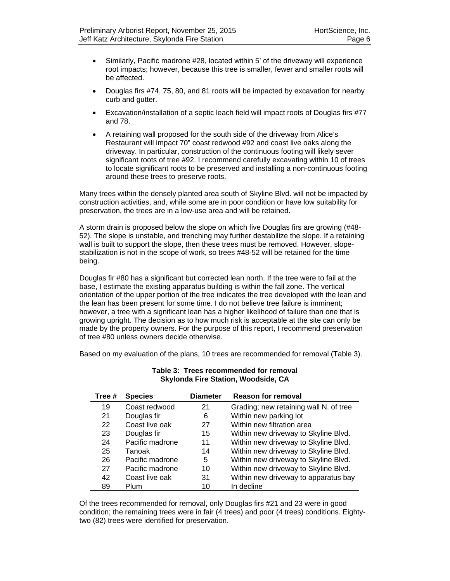- Similarly, Pacific madrone #28, located within 5' of the driveway will experience root impacts; however, because this tree is smaller, fewer and smaller roots will be affected.
- Douglas firs #74, 75, 80, and 81 roots will be impacted by excavation for nearby curb and gutter.
- Excavation/installation of a septic leach field will impact roots of Douglas firs #77 and 78.
- A retaining wall proposed for the south side of the driveway from Alice's Restaurant will impact 70" coast redwood #92 and coast live oaks along the driveway. In particular, construction of the continuous footing will likely sever significant roots of tree #92. I recommend carefully excavating within 10 of trees to locate significant roots to be preserved and installing a non-continuous footing around these trees to preserve roots.

Many trees within the densely planted area south of Skyline Blvd. will not be impacted by construction activities, and, while some are in poor condition or have low suitability for preservation, the trees are in a low-use area and will be retained.

A storm drain is proposed below the slope on which five Douglas firs are growing (#48- 52). The slope is unstable, and trenching may further destabilize the slope. If a retaining wall is built to support the slope, then these trees must be removed. However, slopestabilization is not in the scope of work, so trees #48-52 will be retained for the time being.

Douglas fir #80 has a significant but corrected lean north. If the tree were to fail at the base, I estimate the existing apparatus building is within the fall zone. The vertical orientation of the upper portion of the tree indicates the tree developed with the lean and the lean has been present for some time. I do not believe tree failure is imminent; however, a tree with a significant lean has a higher likelihood of failure than one that is growing upright. The decision as to how much risk is acceptable at the site can only be made by the property owners. For the purpose of this report, I recommend preservation of tree #80 unless owners decide otherwise.

Based on my evaluation of the plans, 10 trees are recommended for removal (Table 3).

| Tree # | <b>Species</b>  | <b>Diameter</b> | <b>Reason for removal</b>              |
|--------|-----------------|-----------------|----------------------------------------|
| 19     | Coast redwood   | 21              | Grading; new retaining wall N. of tree |
| 21     | Douglas fir     | 6               | Within new parking lot                 |
| 22     | Coast live oak  | 27              | Within new filtration area             |
| 23     | Douglas fir     | 15              | Within new driveway to Skyline Blvd.   |
| 24     | Pacific madrone | 11              | Within new driveway to Skyline Blvd.   |
| 25     | Tanoak          | 14              | Within new driveway to Skyline Blvd.   |
| 26     | Pacific madrone | 5               | Within new driveway to Skyline Blvd.   |
| 27     | Pacific madrone | 10              | Within new driveway to Skyline Blvd.   |
| 42     | Coast live oak  | 31              | Within new driveway to apparatus bay   |
| 89     | Plum            | 10              | In decline                             |

#### **Table 3: Trees recommended for removal Skylonda Fire Station, Woodside, CA**

Of the trees recommended for removal, only Douglas firs #21 and 23 were in good condition; the remaining trees were in fair (4 trees) and poor (4 trees) conditions. Eightytwo (82) trees were identified for preservation.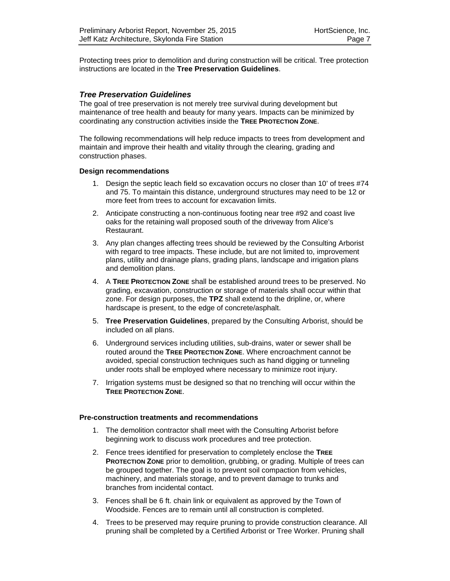Protecting trees prior to demolition and during construction will be critical. Tree protection instructions are located in the **Tree Preservation Guidelines**.

#### *Tree Preservation Guidelines*

The goal of tree preservation is not merely tree survival during development but maintenance of tree health and beauty for many years. Impacts can be minimized by coordinating any construction activities inside the **TREE PROTECTION ZONE**.

The following recommendations will help reduce impacts to trees from development and maintain and improve their health and vitality through the clearing, grading and construction phases.

#### **Design recommendations**

- 1. Design the septic leach field so excavation occurs no closer than 10' of trees #74 and 75. To maintain this distance, underground structures may need to be 12 or more feet from trees to account for excavation limits.
- 2. Anticipate constructing a non-continuous footing near tree #92 and coast live oaks for the retaining wall proposed south of the driveway from Alice's Restaurant.
- 3. Any plan changes affecting trees should be reviewed by the Consulting Arborist with regard to tree impacts. These include, but are not limited to, improvement plans, utility and drainage plans, grading plans, landscape and irrigation plans and demolition plans.
- 4. A **TREE PROTECTION ZONE** shall be established around trees to be preserved. No grading, excavation, construction or storage of materials shall occur within that zone. For design purposes, the **TPZ** shall extend to the dripline, or, where hardscape is present, to the edge of concrete/asphalt.
- 5. **Tree Preservation Guidelines**, prepared by the Consulting Arborist, should be included on all plans.
- 6. Underground services including utilities, sub-drains, water or sewer shall be routed around the **TREE PROTECTION ZONE**. Where encroachment cannot be avoided, special construction techniques such as hand digging or tunneling under roots shall be employed where necessary to minimize root injury.
- 7. Irrigation systems must be designed so that no trenching will occur within the **TREE PROTECTION ZONE**.

#### **Pre-construction treatments and recommendations**

- 1. The demolition contractor shall meet with the Consulting Arborist before beginning work to discuss work procedures and tree protection.
- 2. Fence trees identified for preservation to completely enclose the **TREE PROTECTION ZONE** prior to demolition, grubbing, or grading. Multiple of trees can be grouped together. The goal is to prevent soil compaction from vehicles, machinery, and materials storage, and to prevent damage to trunks and branches from incidental contact.
- 3. Fences shall be 6 ft. chain link or equivalent as approved by the Town of Woodside. Fences are to remain until all construction is completed.
- 4. Trees to be preserved may require pruning to provide construction clearance. All pruning shall be completed by a Certified Arborist or Tree Worker. Pruning shall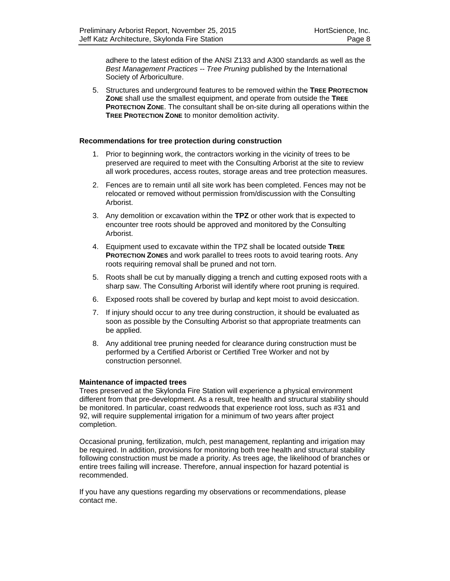adhere to the latest edition of the ANSI Z133 and A300 standards as well as the *Best Management Practices -- Tree Pruning* published by the International Society of Arboriculture.

5. Structures and underground features to be removed within the **TREE PROTECTION ZONE** shall use the smallest equipment, and operate from outside the **TREE PROTECTION ZONE**. The consultant shall be on-site during all operations within the **TREE PROTECTION ZONE** to monitor demolition activity.

#### **Recommendations for tree protection during construction**

- 1. Prior to beginning work, the contractors working in the vicinity of trees to be preserved are required to meet with the Consulting Arborist at the site to review all work procedures, access routes, storage areas and tree protection measures.
- 2. Fences are to remain until all site work has been completed. Fences may not be relocated or removed without permission from/discussion with the Consulting Arborist.
- 3. Any demolition or excavation within the **TPZ** or other work that is expected to encounter tree roots should be approved and monitored by the Consulting Arborist.
- 4. Equipment used to excavate within the TPZ shall be located outside **TREE PROTECTION ZONES** and work parallel to trees roots to avoid tearing roots. Any roots requiring removal shall be pruned and not torn.
- 5. Roots shall be cut by manually digging a trench and cutting exposed roots with a sharp saw. The Consulting Arborist will identify where root pruning is required.
- 6. Exposed roots shall be covered by burlap and kept moist to avoid desiccation.
- 7. If injury should occur to any tree during construction, it should be evaluated as soon as possible by the Consulting Arborist so that appropriate treatments can be applied.
- 8. Any additional tree pruning needed for clearance during construction must be performed by a Certified Arborist or Certified Tree Worker and not by construction personnel.

#### **Maintenance of impacted trees**

Trees preserved at the Skylonda Fire Station will experience a physical environment different from that pre-development. As a result, tree health and structural stability should be monitored. In particular, coast redwoods that experience root loss, such as #31 and 92, will require supplemental irrigation for a minimum of two years after project completion.

Occasional pruning, fertilization, mulch, pest management, replanting and irrigation may be required. In addition, provisions for monitoring both tree health and structural stability following construction must be made a priority. As trees age, the likelihood of branches or entire trees failing will increase. Therefore, annual inspection for hazard potential is recommended.

If you have any questions regarding my observations or recommendations, please contact me.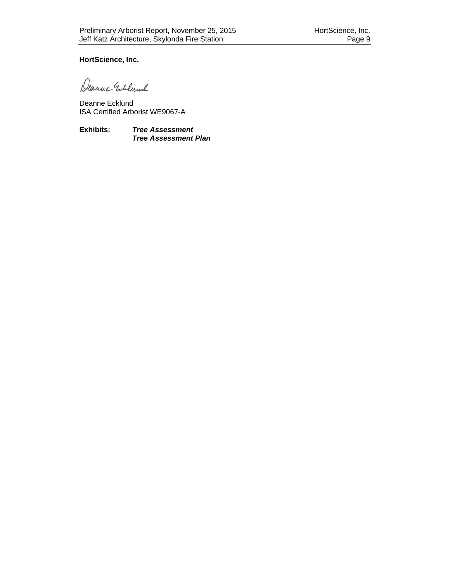**HortScience, Inc.** 

Deanne Echlund

Deanne Ecklund ISA Certified Arborist WE9067-A

**Exhibits:** *Tree Assessment Tree Assessment Plan*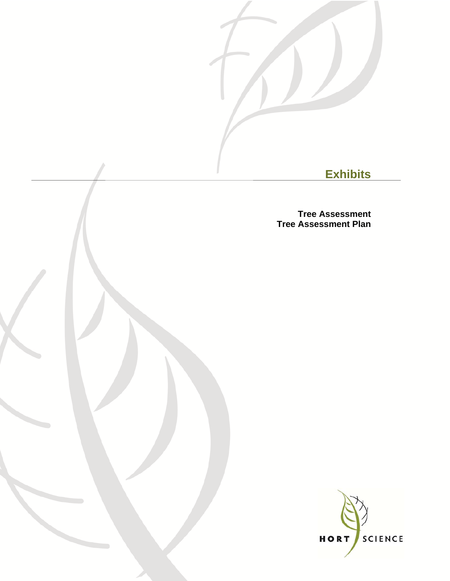

**Tree Assessment Tree Assessment Plan**

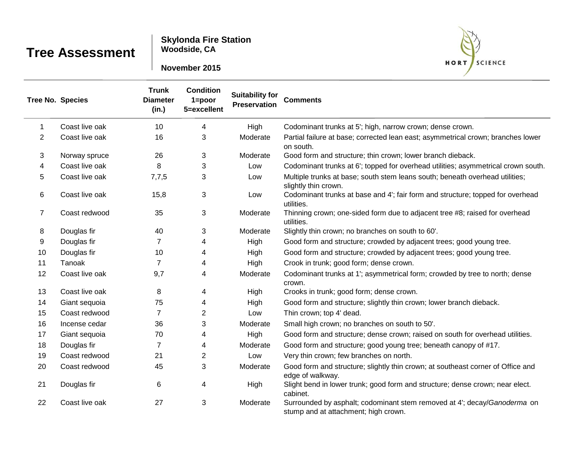**Skylonda Fire Station Woodside, CA**



|                | <b>Tree No. Species</b> | <b>Trunk</b><br><b>Diameter</b><br>(in.) | <b>Condition</b><br>$1 = poor$<br>5=excellent | <b>Suitability for</b><br><b>Preservation</b> | <b>Comments</b>                                                                                                  |
|----------------|-------------------------|------------------------------------------|-----------------------------------------------|-----------------------------------------------|------------------------------------------------------------------------------------------------------------------|
| 1              | Coast live oak          | 10                                       | 4                                             | High                                          | Codominant trunks at 5'; high, narrow crown; dense crown.                                                        |
| $\overline{2}$ | Coast live oak          | 16                                       | 3                                             | Moderate                                      | Partial failure at base; corrected lean east; asymmetrical crown; branches lower<br>on south.                    |
| 3              | Norway spruce           | 26                                       | 3                                             | Moderate                                      | Good form and structure; thin crown; lower branch dieback.                                                       |
| 4              | Coast live oak          | 8                                        | 3                                             | Low                                           | Codominant trunks at 6'; topped for overhead utilities; asymmetrical crown south.                                |
| 5              | Coast live oak          | 7,7,5                                    | 3                                             | Low                                           | Multiple trunks at base; south stem leans south; beneath overhead utilities;<br>slightly thin crown.             |
| 6              | Coast live oak          | 15,8                                     | 3                                             | Low                                           | Codominant trunks at base and 4'; fair form and structure; topped for overhead<br>utilities.                     |
| 7              | Coast redwood           | 35                                       | 3                                             | Moderate                                      | Thinning crown; one-sided form due to adjacent tree #8; raised for overhead<br>utilities.                        |
| 8              | Douglas fir             | 40                                       | 3                                             | Moderate                                      | Slightly thin crown; no branches on south to 60'.                                                                |
| 9              | Douglas fir             | 7                                        | 4                                             | High                                          | Good form and structure; crowded by adjacent trees; good young tree.                                             |
| 10             | Douglas fir             | 10                                       | 4                                             | High                                          | Good form and structure; crowded by adjacent trees; good young tree.                                             |
| 11             | Tanoak                  | 7                                        | 4                                             | High                                          | Crook in trunk; good form; dense crown.                                                                          |
| 12             | Coast live oak          | 9,7                                      | 4                                             | Moderate                                      | Codominant trunks at 1'; asymmetrical form; crowded by tree to north; dense<br>crown.                            |
| 13             | Coast live oak          | 8                                        | 4                                             | High                                          | Crooks in trunk; good form; dense crown.                                                                         |
| 14             | Giant sequoia           | 75                                       | 4                                             | High                                          | Good form and structure; slightly thin crown; lower branch dieback.                                              |
| 15             | Coast redwood           | $\overline{7}$                           | 2                                             | Low                                           | Thin crown; top 4' dead.                                                                                         |
| 16             | Incense cedar           | 36                                       | 3                                             | Moderate                                      | Small high crown; no branches on south to 50'.                                                                   |
| 17             | Giant sequoia           | 70                                       | 4                                             | High                                          | Good form and structure; dense crown; raised on south for overhead utilities.                                    |
| 18             | Douglas fir             | $\overline{7}$                           | 4                                             | Moderate                                      | Good form and structure; good young tree; beneath canopy of #17.                                                 |
| 19             | Coast redwood           | 21                                       | $\overline{c}$                                | Low                                           | Very thin crown; few branches on north.                                                                          |
| 20             | Coast redwood           | 45                                       | 3                                             | Moderate                                      | Good form and structure; slightly thin crown; at southeast corner of Office and<br>edge of walkway.              |
| 21             | Douglas fir             | 6                                        | 4                                             | High                                          | Slight bend in lower trunk; good form and structure; dense crown; near elect.<br>cabinet.                        |
| 22             | Coast live oak          | 27                                       | 3                                             | Moderate                                      | Surrounded by asphalt; codominant stem removed at 4'; decay/Ganoderma on<br>stump and at attachment; high crown. |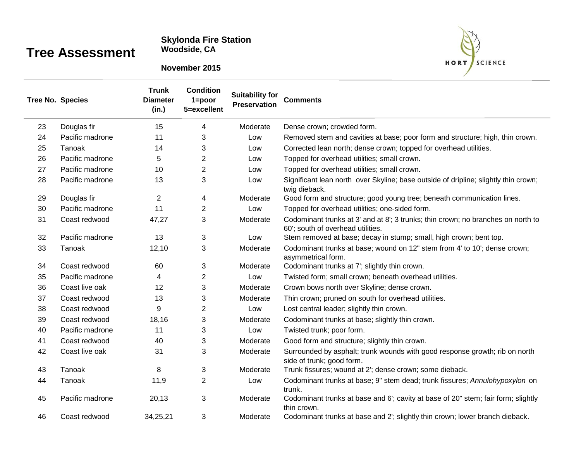**Skylonda Fire Station Woodside, CA**



|    | <b>Tree No. Species</b> | <b>Trunk</b><br><b>Diameter</b><br>(in.) | <b>Condition</b><br>$1 = poor$<br>5=excellent | <b>Suitability for</b><br><b>Preservation</b> | <b>Comments</b>                                                                                                       |
|----|-------------------------|------------------------------------------|-----------------------------------------------|-----------------------------------------------|-----------------------------------------------------------------------------------------------------------------------|
| 23 | Douglas fir             | 15                                       | 4                                             | Moderate                                      | Dense crown; crowded form.                                                                                            |
| 24 | Pacific madrone         | 11                                       | 3                                             | Low                                           | Removed stem and cavities at base; poor form and structure; high, thin crown.                                         |
| 25 | Tanoak                  | 14                                       | 3                                             | Low                                           | Corrected lean north; dense crown; topped for overhead utilities.                                                     |
| 26 | Pacific madrone         | 5                                        | $\overline{2}$                                | Low                                           | Topped for overhead utilities; small crown.                                                                           |
| 27 | Pacific madrone         | 10                                       | $\overline{2}$                                | Low                                           | Topped for overhead utilities; small crown.                                                                           |
| 28 | Pacific madrone         | 13                                       | 3                                             | Low                                           | Significant lean north over Skyline; base outside of dripline; slightly thin crown;<br>twig dieback.                  |
| 29 | Douglas fir             | $\overline{c}$                           | 4                                             | Moderate                                      | Good form and structure; good young tree; beneath communication lines.                                                |
| 30 | Pacific madrone         | 11                                       | $\overline{2}$                                | Low                                           | Topped for overhead utilities; one-sided form.                                                                        |
| 31 | Coast redwood           | 47,27                                    | 3                                             | Moderate                                      | Codominant trunks at 3' and at 8'; 3 trunks; thin crown; no branches on north to<br>60'; south of overhead utilities. |
| 32 | Pacific madrone         | 13                                       | 3                                             | Low                                           | Stem removed at base; decay in stump; small, high crown; bent top.                                                    |
| 33 | Tanoak                  | 12,10                                    | 3                                             | Moderate                                      | Codominant trunks at base; wound on 12" stem from 4' to 10'; dense crown;<br>asymmetrical form.                       |
| 34 | Coast redwood           | 60                                       | 3                                             | Moderate                                      | Codominant trunks at 7'; slightly thin crown.                                                                         |
| 35 | Pacific madrone         | 4                                        | $\overline{2}$                                | Low                                           | Twisted form; small crown; beneath overhead utilities.                                                                |
| 36 | Coast live oak          | 12                                       | 3                                             | Moderate                                      | Crown bows north over Skyline; dense crown.                                                                           |
| 37 | Coast redwood           | 13                                       | 3                                             | Moderate                                      | Thin crown; pruned on south for overhead utilities.                                                                   |
| 38 | Coast redwood           | 9                                        | $\mathbf 2$                                   | Low                                           | Lost central leader; slightly thin crown.                                                                             |
| 39 | Coast redwood           | 18,16                                    | $\ensuremath{\mathsf{3}}$                     | Moderate                                      | Codominant trunks at base; slightly thin crown.                                                                       |
| 40 | Pacific madrone         | 11                                       | 3                                             | Low                                           | Twisted trunk; poor form.                                                                                             |
| 41 | Coast redwood           | 40                                       | 3                                             | Moderate                                      | Good form and structure; slightly thin crown.                                                                         |
| 42 | Coast live oak          | 31                                       | 3                                             | Moderate                                      | Surrounded by asphalt; trunk wounds with good response growth; rib on north<br>side of trunk; good form.              |
| 43 | Tanoak                  | 8                                        | $\mathbf{3}$                                  | Moderate                                      | Trunk fissures; wound at 2'; dense crown; some dieback.                                                               |
| 44 | Tanoak                  | 11,9                                     | $\overline{2}$                                | Low                                           | Codominant trunks at base; 9" stem dead; trunk fissures; Annulohypoxylon on<br>trunk.                                 |
| 45 | Pacific madrone         | 20,13                                    | 3                                             | Moderate                                      | Codominant trunks at base and 6'; cavity at base of 20" stem; fair form; slightly<br>thin crown.                      |
| 46 | Coast redwood           | 34,25,21                                 | 3                                             | Moderate                                      | Codominant trunks at base and 2'; slightly thin crown; lower branch dieback.                                          |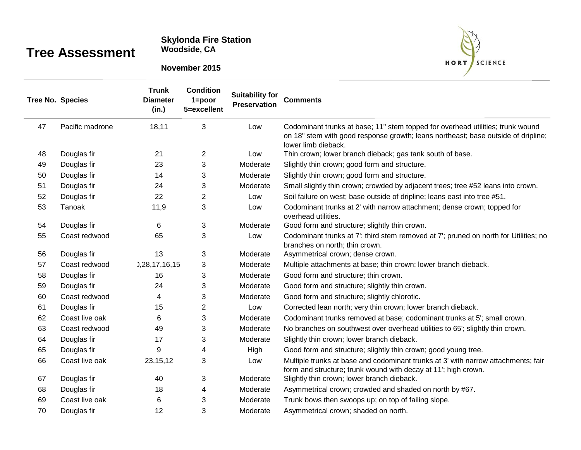**Skylonda Fire Station Woodside, CA**



|    | <b>Tree No. Species</b> | <b>Trunk</b><br><b>Diameter</b><br>(in.) | <b>Condition</b><br>$1 = poor$<br>5=excellent | <b>Suitability for</b><br><b>Preservation</b> | <b>Comments</b>                                                                                                                                                                            |
|----|-------------------------|------------------------------------------|-----------------------------------------------|-----------------------------------------------|--------------------------------------------------------------------------------------------------------------------------------------------------------------------------------------------|
| 47 | Pacific madrone         | 18,11                                    | 3                                             | Low                                           | Codominant trunks at base; 11" stem topped for overhead utilities; trunk wound<br>on 18" stem with good response growth; leans northeast; base outside of dripline;<br>lower limb dieback. |
| 48 | Douglas fir             | 21                                       | $\overline{c}$                                | Low                                           | Thin crown; lower branch dieback; gas tank south of base.                                                                                                                                  |
| 49 | Douglas fir             | 23                                       | $\ensuremath{\mathsf{3}}$                     | Moderate                                      | Slightly thin crown; good form and structure.                                                                                                                                              |
| 50 | Douglas fir             | 14                                       | 3                                             | Moderate                                      | Slightly thin crown; good form and structure.                                                                                                                                              |
| 51 | Douglas fir             | 24                                       | $\ensuremath{\mathsf{3}}$                     | Moderate                                      | Small slightly thin crown; crowded by adjacent trees; tree #52 leans into crown.                                                                                                           |
| 52 | Douglas fir             | 22                                       | $\overline{c}$                                | Low                                           | Soil failure on west; base outside of dripline; leans east into tree #51.                                                                                                                  |
| 53 | Tanoak                  | 11,9                                     | 3                                             | Low                                           | Codominant trunks at 2' with narrow attachment; dense crown; topped for<br>overhead utilities.                                                                                             |
| 54 | Douglas fir             | 6                                        | 3                                             | Moderate                                      | Good form and structure; slightly thin crown.                                                                                                                                              |
| 55 | Coast redwood           | 65                                       | 3                                             | Low                                           | Codominant trunks at 7'; third stem removed at 7'; pruned on north for Utilities; no<br>branches on north; thin crown.                                                                     |
| 56 | Douglas fir             | 13                                       | 3                                             | Moderate                                      | Asymmetrical crown; dense crown.                                                                                                                                                           |
| 57 | Coast redwood           | 0,28,17,16,15                            | 3                                             | Moderate                                      | Multiple attachments at base; thin crown; lower branch dieback.                                                                                                                            |
| 58 | Douglas fir             | 16                                       | 3                                             | Moderate                                      | Good form and structure; thin crown.                                                                                                                                                       |
| 59 | Douglas fir             | 24                                       | 3                                             | Moderate                                      | Good form and structure; slightly thin crown.                                                                                                                                              |
| 60 | Coast redwood           | 4                                        | 3                                             | Moderate                                      | Good form and structure; slightly chlorotic.                                                                                                                                               |
| 61 | Douglas fir             | 15                                       | $\overline{2}$                                | Low                                           | Corrected lean north; very thin crown; lower branch dieback.                                                                                                                               |
| 62 | Coast live oak          | 6                                        | 3                                             | Moderate                                      | Codominant trunks removed at base; codominant trunks at 5'; small crown.                                                                                                                   |
| 63 | Coast redwood           | 49                                       | 3                                             | Moderate                                      | No branches on southwest over overhead utilities to 65'; slightly thin crown.                                                                                                              |
| 64 | Douglas fir             | 17                                       | 3                                             | Moderate                                      | Slightly thin crown; lower branch dieback.                                                                                                                                                 |
| 65 | Douglas fir             | 9                                        | 4                                             | High                                          | Good form and structure; slightly thin crown; good young tree.                                                                                                                             |
| 66 | Coast live oak          | 23, 15, 12                               | 3                                             | Low                                           | Multiple trunks at base and codominant trunks at 3' with narrow attachments; fair<br>form and structure; trunk wound with decay at 11'; high crown.                                        |
| 67 | Douglas fir             | 40                                       | 3                                             | Moderate                                      | Slightly thin crown; lower branch dieback.                                                                                                                                                 |
| 68 | Douglas fir             | 18                                       | 4                                             | Moderate                                      | Asymmetrical crown; crowded and shaded on north by #67.                                                                                                                                    |
| 69 | Coast live oak          | 6                                        | 3                                             | Moderate                                      | Trunk bows then swoops up; on top of failing slope.                                                                                                                                        |
| 70 | Douglas fir             | 12                                       | 3                                             | Moderate                                      | Asymmetrical crown; shaded on north.                                                                                                                                                       |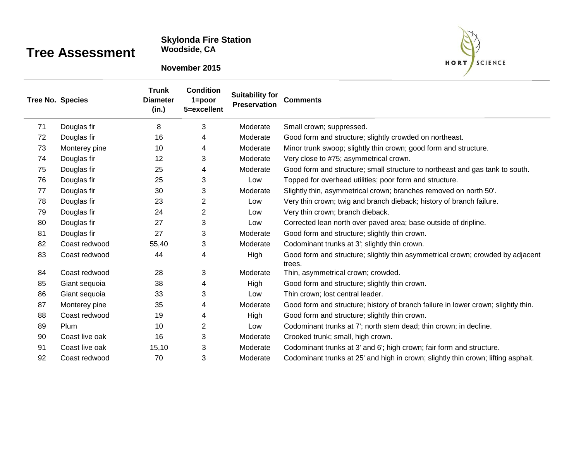**Skylonda Fire Station Woodside, CA**



|    | <b>Tree No. Species</b> | <b>Trunk</b><br><b>Diameter</b><br>(in.) | <b>Condition</b><br>$1 = poor$<br>5=excellent | <b>Suitability for</b><br><b>Preservation</b> | <b>Comments</b>                                                                          |
|----|-------------------------|------------------------------------------|-----------------------------------------------|-----------------------------------------------|------------------------------------------------------------------------------------------|
| 71 | Douglas fir             | 8                                        | 3                                             | Moderate                                      | Small crown; suppressed.                                                                 |
| 72 | Douglas fir             | 16                                       | 4                                             | Moderate                                      | Good form and structure; slightly crowded on northeast.                                  |
| 73 | Monterey pine           | 10                                       | 4                                             | Moderate                                      | Minor trunk swoop; slightly thin crown; good form and structure.                         |
| 74 | Douglas fir             | 12                                       | 3                                             | Moderate                                      | Very close to #75; asymmetrical crown.                                                   |
| 75 | Douglas fir             | 25                                       | 4                                             | Moderate                                      | Good form and structure; small structure to northeast and gas tank to south.             |
| 76 | Douglas fir             | 25                                       | 3                                             | Low                                           | Topped for overhead utilities; poor form and structure.                                  |
| 77 | Douglas fir             | 30                                       | 3                                             | Moderate                                      | Slightly thin, asymmetrical crown; branches removed on north 50'.                        |
| 78 | Douglas fir             | 23                                       | $\overline{2}$                                | Low                                           | Very thin crown; twig and branch dieback; history of branch failure.                     |
| 79 | Douglas fir             | 24                                       | $\overline{c}$                                | Low                                           | Very thin crown; branch dieback.                                                         |
| 80 | Douglas fir             | 27                                       | 3                                             | Low                                           | Corrected lean north over paved area; base outside of dripline.                          |
| 81 | Douglas fir             | 27                                       | 3                                             | Moderate                                      | Good form and structure; slightly thin crown.                                            |
| 82 | Coast redwood           | 55,40                                    | 3                                             | Moderate                                      | Codominant trunks at 3'; slightly thin crown.                                            |
| 83 | Coast redwood           | 44                                       | 4                                             | High                                          | Good form and structure; slightly thin asymmetrical crown; crowded by adjacent<br>trees. |
| 84 | Coast redwood           | 28                                       | 3                                             | Moderate                                      | Thin, asymmetrical crown; crowded.                                                       |
| 85 | Giant sequoia           | 38                                       | 4                                             | High                                          | Good form and structure; slightly thin crown.                                            |
| 86 | Giant sequoia           | 33                                       | 3                                             | Low                                           | Thin crown; lost central leader.                                                         |
| 87 | Monterey pine           | 35                                       | 4                                             | Moderate                                      | Good form and structure; history of branch failure in lower crown; slightly thin.        |
| 88 | Coast redwood           | 19                                       | 4                                             | High                                          | Good form and structure; slightly thin crown.                                            |
| 89 | Plum                    | 10                                       | $\overline{2}$                                | Low                                           | Codominant trunks at 7'; north stem dead; thin crown; in decline.                        |
| 90 | Coast live oak          | 16                                       | 3                                             | Moderate                                      | Crooked trunk; small, high crown.                                                        |
| 91 | Coast live oak          | 15,10                                    | 3                                             | Moderate                                      | Codominant trunks at 3' and 6'; high crown; fair form and structure.                     |
| 92 | Coast redwood           | 70                                       | 3                                             | Moderate                                      | Codominant trunks at 25' and high in crown; slightly thin crown; lifting asphalt.        |